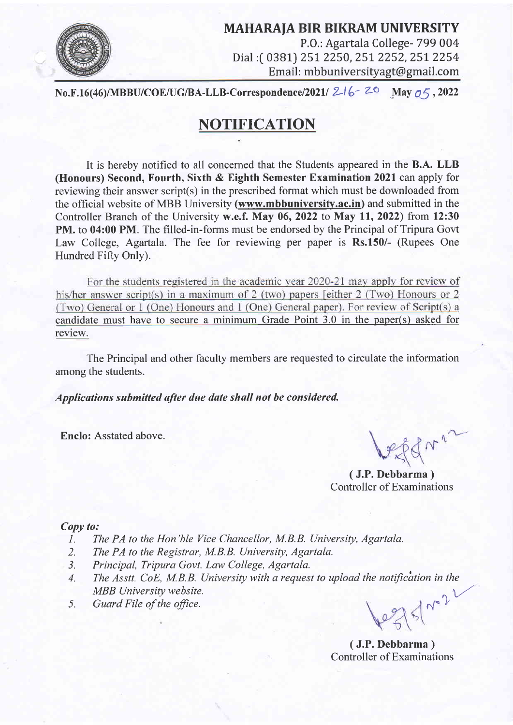

MAHARAJA BIR BIKRAM UNIVERSITY P.O.: Agartala College- 799 004 Dial :[ 0381) 251. 2250,251,2252,25I 2254 Email: mbbuniversityagt@gmail.com

No.F.16(46)/MBBU/COE/UG/BA-LLB-Correspondence/2021/  $216 - 20$  May  $q5$ , 2022

# **NOTIFICATION**

It is hereby notified to all concerned that the Students appeared in the B.A. LLB (Honours) Second, Fourth, Sixth & Eighth Semester Examination 2021 can apply for reviewing their answer script(s) in the prescribed format which must be downloaded from the official website of MBB University (www.mbbuniversity.ac.in) and submitted in the Controller Branch of the University w.e.f. May 06, 2022 to May 11, 2022) from 12:30 PM. to 04:00 PM. The filled-in-forms must be endorsed by the Principal of Tripura Govt Law College, Agartala. The fee for reviewing per paper is Rs.150/- (Rupees One Hundred Fifty Only).

For the students registered in the academic year 2020-21 may apply for review of his/her answer script(s) in a maximum of 2 (two) papers [either  $2$  (Two) Honours or  $2$ (Two) General or 1 (One) Honours and 1 (One) General paper). For review of Script(s) a candidate must have to secure a minimum Grade Point 3.0 in the paper(s) asked for review.

The Principal and other faculty members are requested to circulate the information among the students.

Applications submitted after due date shall not be considered.

Enclo: Asstated above.

( J.P.Debbarma ) Controller of Examinations

#### Copy to:

- 1. The PA to the Hon'ble Vice Chancellor, M.B.B. University, Agartala.
- 2. The PA to the Registrar, M.B.B. University, Agartala.
- 3. Principal, Tripura Govt. Law College, Agartala.
- 4. The Asstt. CoE, M.B.B. University with a request to upload the notification in the MBB University website.
- 5. Guard File of the office.

 $12751 - 2$ 

( J.P.Debbarma ) Controller of Examinations